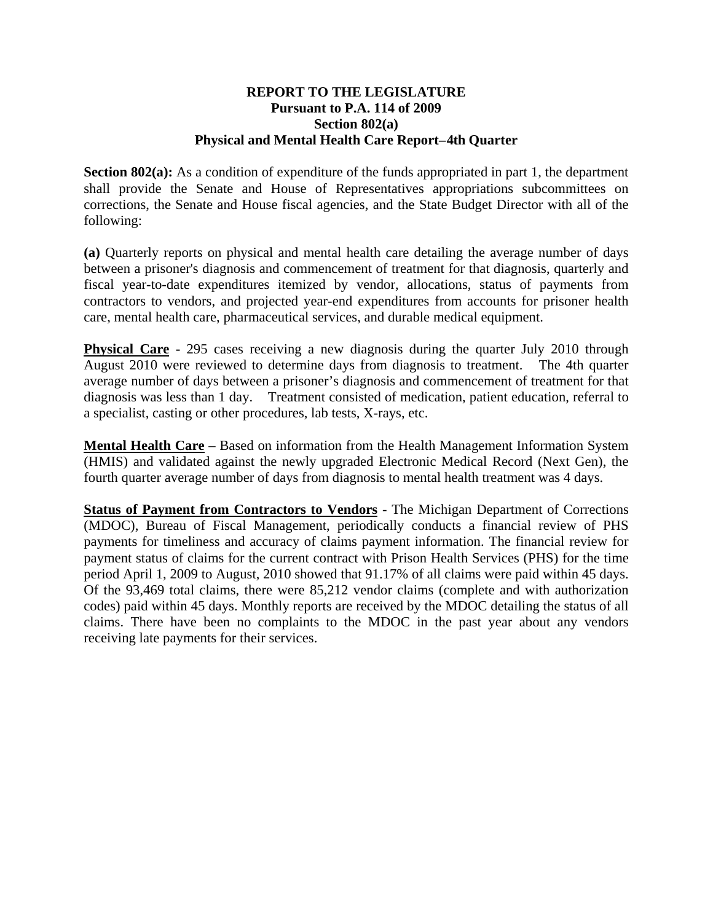## **REPORT TO THE LEGISLATURE Pursuant to P.A. 114 of 2009 Section 802(a) Physical and Mental Health Care Report – 4th Quarter**

**Section 802(a):** As a condition of expenditure of the funds appropriated in part 1, the department shall provide the Senate and House of Representatives appropriations subcommittees on corrections, the Senate and House fiscal agencies, and the State Budget Director with all of the following:

**(a)** Quarterly reports on physical and mental health care detailing the average number of days between a prisoner's diagnosis and commencement of treatment for that diagnosis, quarterly and fiscal year-to-date expenditures itemized by vendor, allocations, status of payments from contractors to vendors, and projected year-end expenditures from accounts for prisoner health care, mental health care, pharmaceutical services, and durable medical equipment.

**Physical Care -** 295 cases receiving a new diagnosis during the quarter July 2010 through August 2010 were reviewed to determine days from diagnosis to treatment. The 4th quarter average number of days between a prisoner's diagnosis and commencement of treatment for that diagnosis was less than 1 day. Treatment consisted of medication, patient education, referral to a specialist, casting or other procedures, lab tests, X-rays, etc.

**Mental Health Care** – Based on information from the Health Management Information System (HMIS) and validated against the newly upgraded Electronic Medical Record (Next Gen), the fourth quarter average number of days from diagnosis to mental health treatment was 4 days.

**Status of Payment from Contractors to Vendors** - The Michigan Department of Corrections (MDOC), Bureau of Fiscal Management, periodically conducts a financial review of PHS payments for timeliness and accuracy of claims payment information. The financial review for payment status of claims for the current contract with Prison Health Services (PHS) for the time period April 1, 2009 to August, 2010 showed that 91.17% of all claims were paid within 45 days. Of the 93,469 total claims, there were 85,212 vendor claims (complete and with authorization codes) paid within 45 days. Monthly reports are received by the MDOC detailing the status of all claims. There have been no complaints to the MDOC in the past year about any vendors receiving late payments for their services.